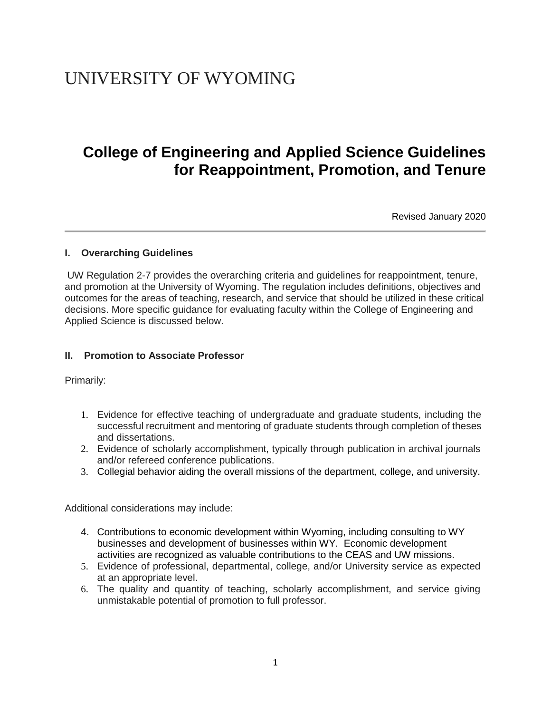# UNIVERSITY OF WYOMING

# **College of Engineering and Applied Science Guidelines for Reappointment, Promotion, and Tenure**

Revised January 2020

#### **I. Overarching Guidelines**

UW Regulation 2-7 provides the overarching criteria and guidelines for reappointment, tenure, and promotion at the University of Wyoming. The regulation includes definitions, objectives and outcomes for the areas of teaching, research, and service that should be utilized in these critical decisions. More specific guidance for evaluating faculty within the College of Engineering and Applied Science is discussed below.

#### **II. Promotion to Associate Professor**

Primarily:

- 1. Evidence for effective teaching of undergraduate and graduate students, including the successful recruitment and mentoring of graduate students through completion of theses and dissertations.
- 2. Evidence of scholarly accomplishment, typically through publication in archival journals and/or refereed conference publications.
- 3. Collegial behavior aiding the overall missions of the department, college, and university.

Additional considerations may include:

- 4. Contributions to economic development within Wyoming, including consulting to WY businesses and development of businesses within WY. Economic development activities are recognized as valuable contributions to the CEAS and UW missions.
- 5. Evidence of professional, departmental, college, and/or University service as expected at an appropriate level.
- 6. The quality and quantity of teaching, scholarly accomplishment, and service giving unmistakable potential of promotion to full professor.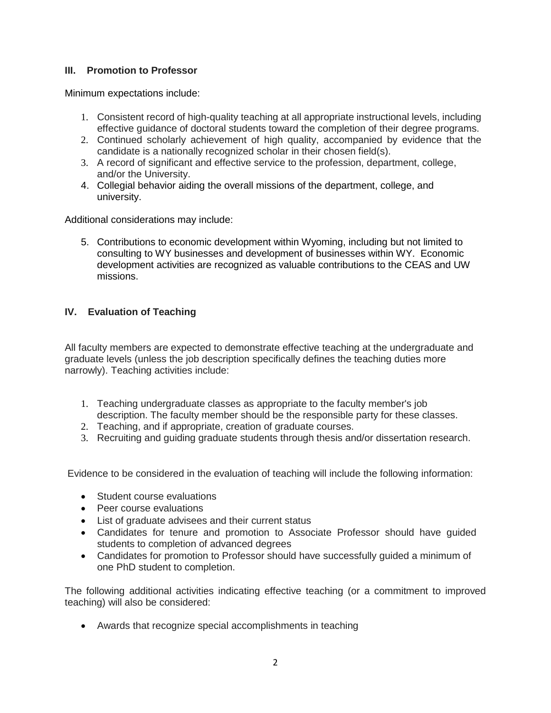## **III. Promotion to Professor**

Minimum expectations include:

- 1. Consistent record of high-quality teaching at all appropriate instructional levels, including effective guidance of doctoral students toward the completion of their degree programs.
- 2. Continued scholarly achievement of high quality, accompanied by evidence that the candidate is a nationally recognized scholar in their chosen field(s).
- 3. A record of significant and effective service to the profession, department, college, and/or the University.
- 4. Collegial behavior aiding the overall missions of the department, college, and university.

Additional considerations may include:

5. Contributions to economic development within Wyoming, including but not limited to consulting to WY businesses and development of businesses within WY. Economic development activities are recognized as valuable contributions to the CEAS and UW missions.

## **IV. Evaluation of Teaching**

All faculty members are expected to demonstrate effective teaching at the undergraduate and graduate levels (unless the job description specifically defines the teaching duties more narrowly). Teaching activities include:

- 1. Teaching undergraduate classes as appropriate to the faculty member's job description. The faculty member should be the responsible party for these classes.
- 2. Teaching, and if appropriate, creation of graduate courses.
- 3. Recruiting and guiding graduate students through thesis and/or dissertation research.

Evidence to be considered in the evaluation of teaching will include the following information:

- Student course evaluations
- Peer course evaluations
- List of graduate advisees and their current status
- Candidates for tenure and promotion to Associate Professor should have guided students to completion of advanced degrees
- Candidates for promotion to Professor should have successfully guided a minimum of one PhD student to completion.

The following additional activities indicating effective teaching (or a commitment to improved teaching) will also be considered:

• Awards that recognize special accomplishments in teaching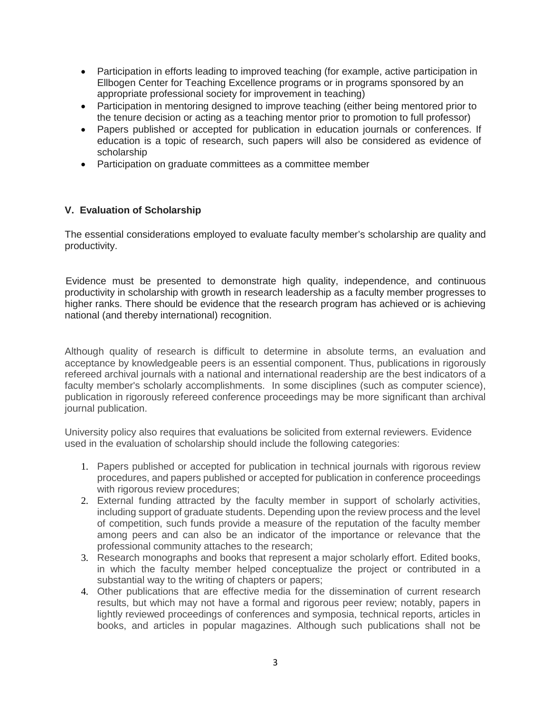- Participation in efforts leading to improved teaching (for example, active participation in Ellbogen Center for Teaching Excellence programs or in programs sponsored by an appropriate professional society for improvement in teaching)
- Participation in mentoring designed to improve teaching (either being mentored prior to the tenure decision or acting as a teaching mentor prior to promotion to full professor)
- Papers published or accepted for publication in education journals or conferences. If education is a topic of research, such papers will also be considered as evidence of scholarship
- Participation on graduate committees as a committee member

#### **V. Evaluation of Scholarship**

The essential considerations employed to evaluate faculty member's scholarship are quality and productivity.

Evidence must be presented to demonstrate high quality, independence, and continuous productivity in scholarship with growth in research leadership as a faculty member progresses to higher ranks. There should be evidence that the research program has achieved or is achieving national (and thereby international) recognition.

Although quality of research is difficult to determine in absolute terms, an evaluation and acceptance by knowledgeable peers is an essential component. Thus, publications in rigorously refereed archival journals with a national and international readership are the best indicators of a faculty member's scholarly accomplishments. In some disciplines (such as computer science), publication in rigorously refereed conference proceedings may be more significant than archival journal publication.

University policy also requires that evaluations be solicited from external reviewers. Evidence used in the evaluation of scholarship should include the following categories:

- 1. Papers published or accepted for publication in technical journals with rigorous review procedures, and papers published or accepted for publication in conference proceedings with rigorous review procedures;
- 2. External funding attracted by the faculty member in support of scholarly activities, including support of graduate students. Depending upon the review process and the level of competition, such funds provide a measure of the reputation of the faculty member among peers and can also be an indicator of the importance or relevance that the professional community attaches to the research;
- 3. Research monographs and books that represent a major scholarly effort. Edited books, in which the faculty member helped conceptualize the project or contributed in a substantial way to the writing of chapters or papers;
- 4. Other publications that are effective media for the dissemination of current research results, but which may not have a formal and rigorous peer review; notably, papers in lightly reviewed proceedings of conferences and symposia, technical reports, articles in books, and articles in popular magazines. Although such publications shall not be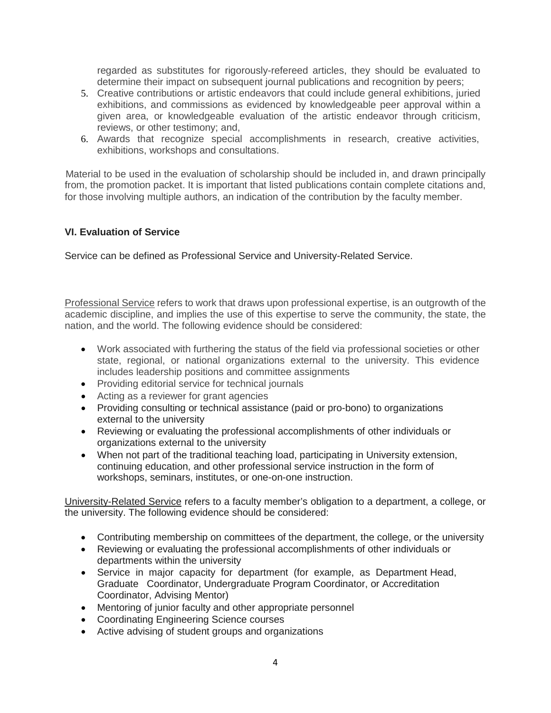regarded as substitutes for rigorously-refereed articles, they should be evaluated to determine their impact on subsequent journal publications and recognition by peers;

- 5. Creative contributions or artistic endeavors that could include general exhibitions, juried exhibitions, and commissions as evidenced by knowledgeable peer approval within a given area, or knowledgeable evaluation of the artistic endeavor through criticism, reviews, or other testimony; and,
- 6. Awards that recognize special accomplishments in research, creative activities, exhibitions, workshops and consultations.

Material to be used in the evaluation of scholarship should be included in, and drawn principally from, the promotion packet. It is important that listed publications contain complete citations and, for those involving multiple authors, an indication of the contribution by the faculty member.

#### **VI. Evaluation of Service**

Service can be defined as Professional Service and University-Related Service.

Professional Service refers to work that draws upon professional expertise, is an outgrowth of the academic discipline, and implies the use of this expertise to serve the community, the state, the nation, and the world. The following evidence should be considered:

- Work associated with furthering the status of the field via professional societies or other state, regional, or national organizations external to the university. This evidence includes leadership positions and committee assignments
- Providing editorial service for technical journals
- Acting as a reviewer for grant agencies
- Providing consulting or technical assistance (paid or pro-bono) to organizations external to the university
- Reviewing or evaluating the professional accomplishments of other individuals or organizations external to the university
- When not part of the traditional teaching load, participating in University extension, continuing education, and other professional service instruction in the form of workshops, seminars, institutes, or one-on-one instruction.

University-Related Service refers to a faculty member's obligation to a department, a college, or the university. The following evidence should be considered:

- Contributing membership on committees of the department, the college, or the university
- Reviewing or evaluating the professional accomplishments of other individuals or departments within the university
- Service in major capacity for department (for example, as Department Head, Graduate Coordinator, Undergraduate Program Coordinator, or Accreditation Coordinator, Advising Mentor)
- Mentoring of junior faculty and other appropriate personnel
- Coordinating Engineering Science courses
- Active advising of student groups and organizations